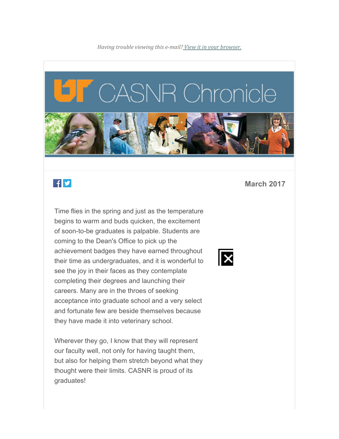

## $f \times$

Time flies in the spring and just as the temperature begins to warm and buds quicken, the excitement of soon-to-be graduates is palpable. Students are coming to the Dean's Office to pick up the achievement badges they have earned throughout their time as undergraduates, and it is wonderful to see the joy in their faces as they contemplate completing their degrees and launching their careers. Many are in the throes of seeking acceptance into graduate school and a very select and fortunate few are beside themselves because they have made it into veterinary school.

Wherever they go, I know that they will represent our faculty well, not only for having taught them, but also for helping them stretch beyond what they thought were their limits. CASNR is proud of its graduates!

**March 2017**

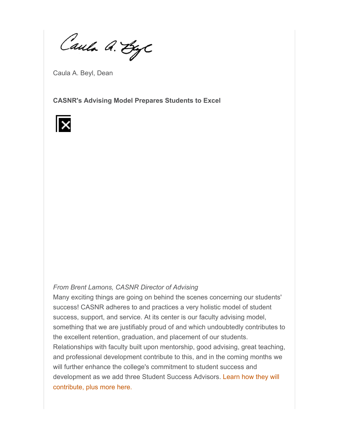Caula A. ByC

Caula A. Beyl, Dean

**CASNR's Advising Model Prepares Students to Excel** 



#### *From Brent Lamons, CASNR Director of Advising*

Many exciting things are going on behind the scenes concerning our students' success! CASNR adheres to and practices a very holistic model of student success, support, and service. At its center is our faculty advising model, something that we are justifiably proud of and which undoubtedly contributes to the excellent retention, graduation, and placement of our students. Relationships with faculty built upon mentorship, good advising, great teaching, and professional development contribute to this, and in the coming months we will further enhance the college's commitment to student success and development as we add three Student Success Advisors. Learn how they will contribute, plus more here.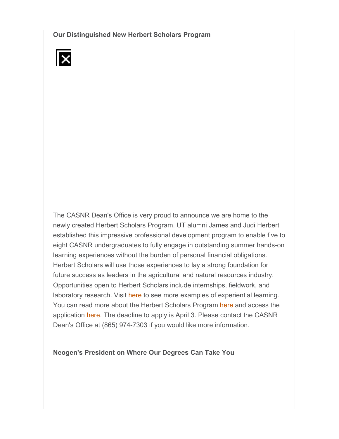**Our Distinguished New Herbert Scholars Program**



The CASNR Dean's Office is very proud to announce we are home to the newly created Herbert Scholars Program. UT alumni James and Judi Herbert established this impressive professional development program to enable five to eight CASNR undergraduates to fully engage in outstanding summer hands-on learning experiences without the burden of personal financial obligations. Herbert Scholars will use those experiences to lay a strong foundation for future success as leaders in the agricultural and natural resources industry. Opportunities open to Herbert Scholars include internships, fieldwork, and laboratory research. Visit here to see more examples of experiential learning. You can read more about the Herbert Scholars Program here and access the application here. The deadline to apply is April 3. Please contact the CASNR Dean's Office at (865) 974-7303 if you would like more information.

**Neogen's President on Where Our Degrees Can Take You**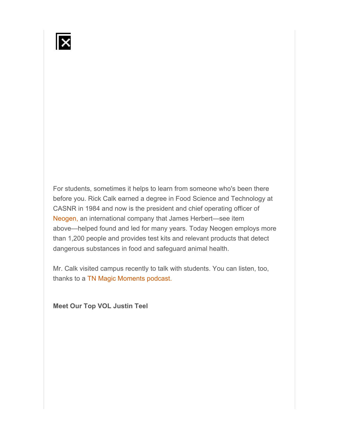For students, sometimes it helps to learn from someone who's been there before you. Rick Calk earned a degree in Food Science and Technology at CASNR in 1984 and now is the president and chief operating officer of Neogen, an international company that James Herbert—see item above—helped found and led for many years. Today Neogen employs more than 1,200 people and provides test kits and relevant products that detect dangerous substances in food and safeguard animal health.

Mr. Calk visited campus recently to talk with students. You can listen, too, thanks to a TN Magic Moments podcast.

**Meet Our Top VOL Justin Teel**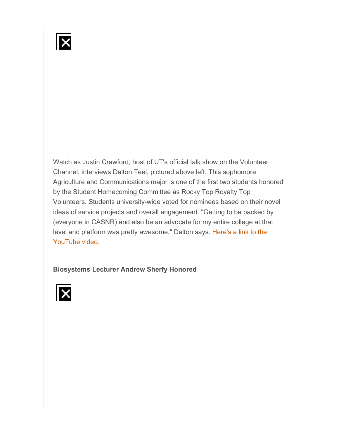Watch as Justin Crawford, host of UT's official talk show on the Volunteer Channel, interviews Dalton Teel, pictured above left. This sophomore Agriculture and Communications major is one of the first two students honored by the Student Homecoming Committee as Rocky Top Royalty Top Volunteers. Students university-wide voted for nominees based on their novel ideas of service projects and overall engagement. "Getting to be backed by (everyone in CASNR) and also be an advocate for my entire college at that level and platform was pretty awesome," Dalton says. Here's a link to the YouTube video.

#### **Biosystems Lecturer Andrew Sherfy Honored**

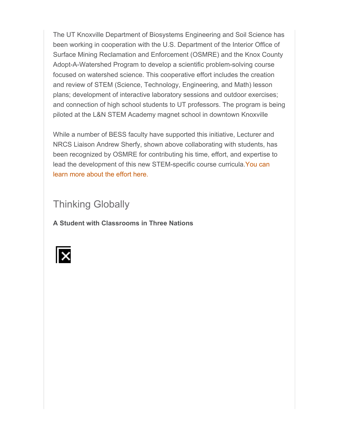The UT Knoxville Department of Biosystems Engineering and Soil Science has been working in cooperation with the U.S. Department of the Interior Office of Surface Mining Reclamation and Enforcement (OSMRE) and the Knox County Adopt-A-Watershed Program to develop a scientific problem-solving course focused on watershed science. This cooperative effort includes the creation and review of STEM (Science, Technology, Engineering, and Math) lesson plans; development of interactive laboratory sessions and outdoor exercises; and connection of high school students to UT professors. The program is being piloted at the L&N STEM Academy magnet school in downtown Knoxville

While a number of BESS faculty have supported this initiative, Lecturer and NRCS Liaison Andrew Sherfy, shown above collaborating with students, has been recognized by OSMRE for contributing his time, effort, and expertise to lead the development of this new STEM-specific course curricula.You can learn more about the effort here.

## Thinking Globally

**A Student with Classrooms in Three Nations**

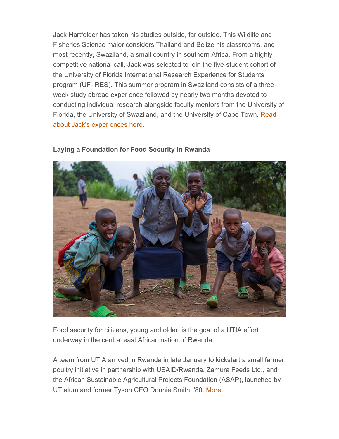Jack Hartfelder has taken his studies outside, far outside. This Wildlife and Fisheries Science major considers Thailand and Belize his classrooms, and most recently, Swaziland, a small country in southern Africa. From a highly competitive national call, Jack was selected to join the five-student cohort of the University of Florida International Research Experience for Students program (UF-IRES). This summer program in Swaziland consists of a threeweek study abroad experience followed by nearly two months devoted to conducting individual research alongside faculty mentors from the University of Florida, the University of Swaziland, and the University of Cape Town. Read about Jack's experiences here.



#### **Laying a Foundation for Food Security in Rwanda**

Food security for citizens, young and older, is the goal of a UTIA effort underway in the central east African nation of Rwanda.

A team from UTIA arrived in Rwanda in late January to kickstart a small farmer poultry initiative in partnership with USAID/Rwanda, Zamura Feeds Ltd., and the African Sustainable Agricultural Projects Foundation (ASAP), launched by UT alum and former Tyson CEO Donnie Smith, '80. More.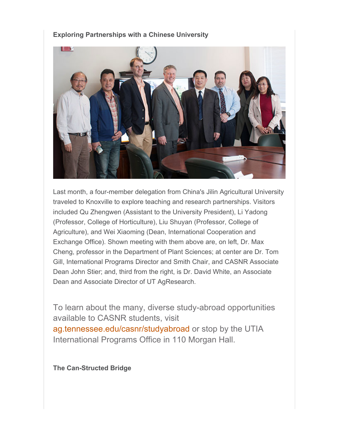#### **Exploring Partnerships with a Chinese University**



Last month, a four-member delegation from China's Jilin Agricultural University traveled to Knoxville to explore teaching and research partnerships. Visitors included Qu Zhengwen (Assistant to the University President), Li Yadong (Professor, College of Horticulture), Liu Shuyan (Professor, College of Agriculture), and Wei Xiaoming (Dean, International Cooperation and Exchange Office). Shown meeting with them above are, on left, Dr. Max Cheng, professor in the Department of Plant Sciences; at center are Dr. Tom Gill, International Programs Director and Smith Chair, and CASNR Associate Dean John Stier; and, third from the right, is Dr. David White, an Associate Dean and Associate Director of UT AgResearch.

To learn about the many, diverse study-abroad opportunities available to CASNR students, visit ag.tennessee.edu/casnr/studyabroad or stop by the UTIA International Programs Office in 110 Morgan Hall.

**The Can-Structed Bridge**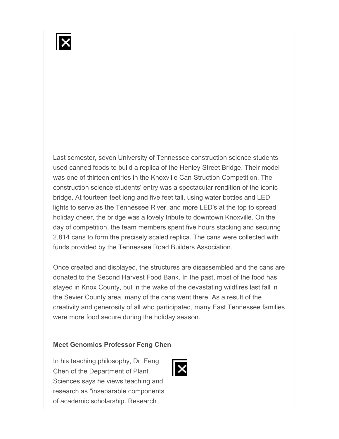Last semester, seven University of Tennessee construction science students used canned foods to build a replica of the Henley Street Bridge. Their model was one of thirteen entries in the Knoxville Can-Struction Competition. The construction science students' entry was a spectacular rendition of the iconic bridge. At fourteen feet long and five feet tall, using water bottles and LED lights to serve as the Tennessee River, and more LED's at the top to spread holiday cheer, the bridge was a lovely tribute to downtown Knoxville. On the day of competition, the team members spent five hours stacking and securing 2,814 cans to form the precisely scaled replica. The cans were collected with funds provided by the Tennessee Road Builders Association.

Once created and displayed, the structures are disassembled and the cans are donated to the Second Harvest Food Bank. In the past, most of the food has stayed in Knox County, but in the wake of the devastating wildfires last fall in the Sevier County area, many of the cans went there. As a result of the creativity and generosity of all who participated, many East Tennessee families were more food secure during the holiday season.

#### **Meet Genomics Professor Feng Chen**

In his teaching philosophy, Dr. Feng Chen of the Department of Plant Sciences says he views teaching and research as "inseparable components of academic scholarship. Research

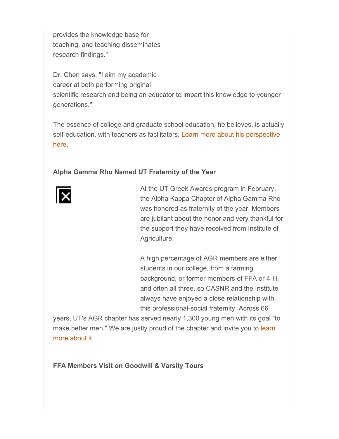provides the knowledge base for teaching, and teaching disseminates research findings."

Dr. Chen says, "I aim my academic career at both performing original scientific research and being an educator to impart this knowledge to younger generations."

The essence of college and graduate school education, he believes, is actually self-education, with teachers as facilitators. Learn more about his perspective here.

### **Alpha Gamma Rho Named UT Fraternity of the Year**



At the UT Greek Awards program in February, the Alpha Kappa Chapter of Alpha Gamma Rho was honored as fraternity of the year. Members are jubilant about the honor and very thankful for the support they have received from Institute of Agriculture.

A high percentage of AGR members are either students in our college, from a farming background, or former members of FFA or 4-H, and often all three, so CASNR and the Institute always have enjoyed a close relationship with this professional-social fraternity. Across 66

years, UT's AGR chapter has served nearly 1,300 young men with its goal "to make better men." We are justly proud of the chapter and invite you to learn more about it.

#### **FFA Members Visit on Goodwill & Varsity Tours**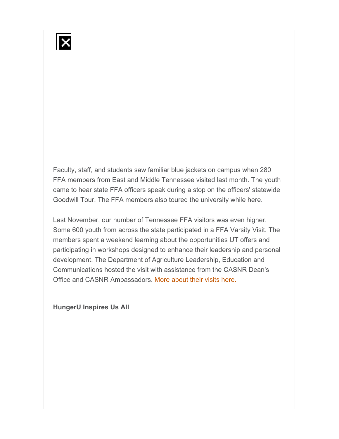Faculty, staff, and students saw familiar blue jackets on campus when 280 FFA members from East and Middle Tennessee visited last month. The youth came to hear state FFA officers speak during a stop on the officers' statewide Goodwill Tour. The FFA members also toured the university while here.

Last November, our number of Tennessee FFA visitors was even higher. Some 600 youth from across the state participated in a FFA Varsity Visit. The members spent a weekend learning about the opportunities UT offers and participating in workshops designed to enhance their leadership and personal development. The Department of Agriculture Leadership, Education and Communications hosted the visit with assistance from the CASNR Dean's Office and CASNR Ambassadors. More about their visits here.

**HungerU Inspires Us All**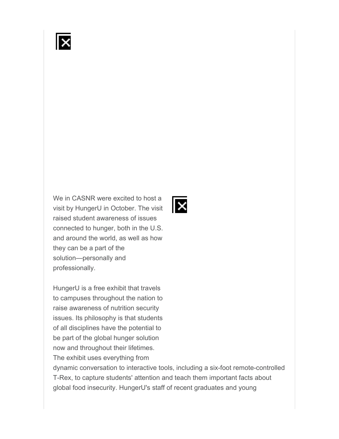

We in CASNR were excited to host a visit by HungerU in October. The visit raised student awareness of issues connected to hunger, both in the U.S. and around the world, as well as how they can be a part of the solution—personally and professionally.

HungerU is a free exhibit that travels to campuses throughout the nation to raise awareness of nutrition security issues. Its philosophy is that students of all disciplines have the potential to be part of the global hunger solution now and throughout their lifetimes. The exhibit uses everything from

dynamic conversation to interactive tools, including a six-foot remote-controlled T-Rex, to capture students' attention and teach them important facts about global food insecurity. HungerU's staff of recent graduates and young

lx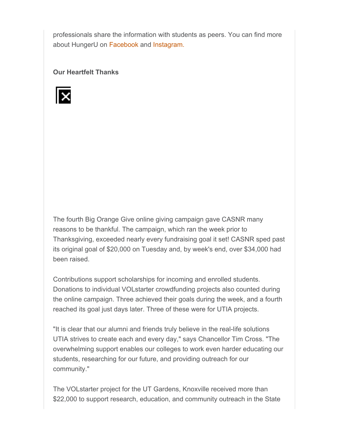professionals share the information with students as peers. You can find more about HungerU on Facebook and Instagram.

**Our Heartfelt Thanks**



The fourth Big Orange Give online giving campaign gave CASNR many reasons to be thankful. The campaign, which ran the week prior to Thanksgiving, exceeded nearly every fundraising goal it set! CASNR sped past its original goal of \$20,000 on Tuesday and, by week's end, over \$34,000 had been raised.

Contributions support scholarships for incoming and enrolled students. Donations to individual VOLstarter crowdfunding projects also counted during the online campaign. Three achieved their goals during the week, and a fourth reached its goal just days later. Three of these were for UTIA projects.

"It is clear that our alumni and friends truly believe in the real-life solutions UTIA strives to create each and every day," says Chancellor Tim Cross. "The overwhelming support enables our colleges to work even harder educating our students, researching for our future, and providing outreach for our community."

The VOLstarter project for the UT Gardens, Knoxville received more than \$22,000 to support research, education, and community outreach in the State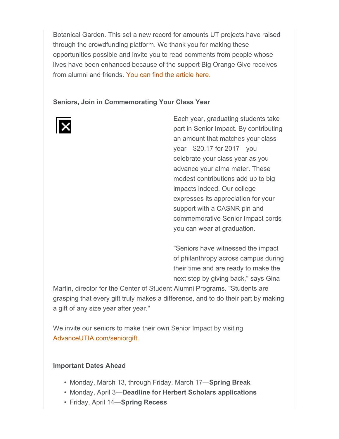Botanical Garden. This set a new record for amounts UT projects have raised through the crowdfunding platform. We thank you for making these opportunities possible and invite you to read comments from people whose lives have been enhanced because of the support Big Orange Give receives from alumni and friends. You can find the article here.

#### **Seniors, Join in Commemorating Your Class Year**



Each year, graduating students take part in Senior Impact. By contributing an amount that matches your class year—\$20.17 for 2017—you celebrate your class year as you advance your alma mater. These modest contributions add up to big impacts indeed. Our college expresses its appreciation for your support with a CASNR pin and commemorative Senior Impact cords you can wear at graduation.

"Seniors have witnessed the impact of philanthropy across campus during their time and are ready to make the next step by giving back," says Gina

Martin, director for the Center of Student Alumni Programs. "Students are grasping that every gift truly makes a difference, and to do their part by making a gift of any size year after year."

We invite our seniors to make their own Senior Impact by visiting AdvanceUTIA.com/seniorgift.

#### **Important Dates Ahead**

- Monday, March 13, through Friday, March 17—**Spring Break**
- Monday, April 3—**Deadline for Herbert Scholars applications**
- Friday, April 14—**Spring Recess**